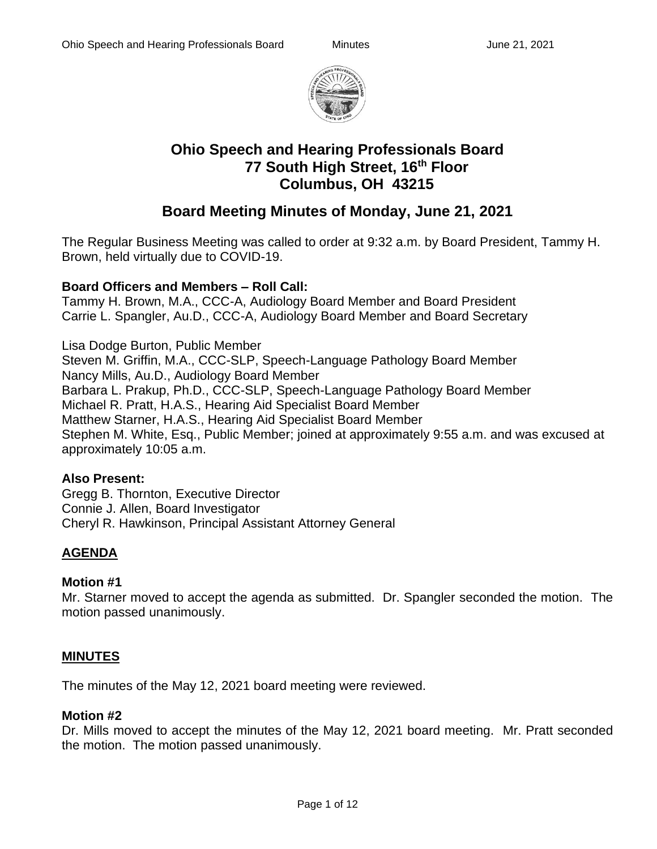

# **Ohio Speech and Hearing Professionals Board 77 South High Street, 16th Floor Columbus, OH 43215**

# **Board Meeting Minutes of Monday, June 21, 2021**

The Regular Business Meeting was called to order at 9:32 a.m. by Board President, Tammy H. Brown, held virtually due to COVID-19.

## **Board Officers and Members – Roll Call:**

Tammy H. Brown, M.A., CCC-A, Audiology Board Member and Board President Carrie L. Spangler, Au.D., CCC-A, Audiology Board Member and Board Secretary

Lisa Dodge Burton, Public Member Steven M. Griffin, M.A., CCC-SLP, Speech-Language Pathology Board Member Nancy Mills, Au.D., Audiology Board Member Barbara L. Prakup, Ph.D., CCC-SLP, Speech-Language Pathology Board Member Michael R. Pratt, H.A.S., Hearing Aid Specialist Board Member Matthew Starner, H.A.S., Hearing Aid Specialist Board Member Stephen M. White, Esq., Public Member; joined at approximately 9:55 a.m. and was excused at approximately 10:05 a.m.

#### **Also Present:**

Gregg B. Thornton, Executive Director Connie J. Allen, Board Investigator Cheryl R. Hawkinson, Principal Assistant Attorney General

## **AGENDA**

## **Motion #1**

Mr. Starner moved to accept the agenda as submitted. Dr. Spangler seconded the motion. The motion passed unanimously.

## **MINUTES**

The minutes of the May 12, 2021 board meeting were reviewed.

#### **Motion #2**

Dr. Mills moved to accept the minutes of the May 12, 2021 board meeting. Mr. Pratt seconded the motion. The motion passed unanimously.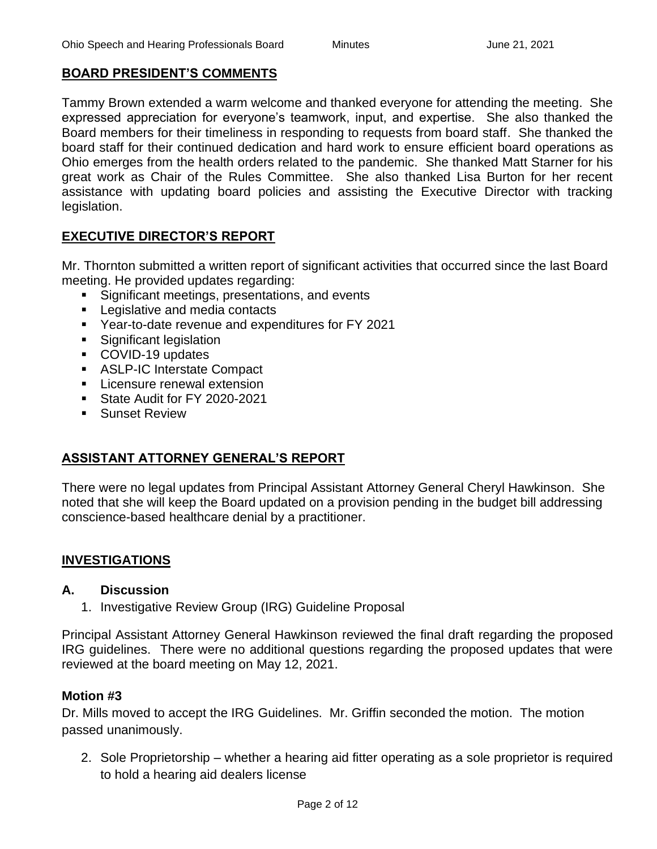## **BOARD PRESIDENT'S COMMENTS**

Tammy Brown extended a warm welcome and thanked everyone for attending the meeting. She expressed appreciation for everyone's teamwork, input, and expertise. She also thanked the Board members for their timeliness in responding to requests from board staff. She thanked the board staff for their continued dedication and hard work to ensure efficient board operations as Ohio emerges from the health orders related to the pandemic. She thanked Matt Starner for his great work as Chair of the Rules Committee. She also thanked Lisa Burton for her recent assistance with updating board policies and assisting the Executive Director with tracking legislation.

## **EXECUTIVE DIRECTOR'S REPORT**

Mr. Thornton submitted a written report of significant activities that occurred since the last Board meeting. He provided updates regarding:

- Significant meetings, presentations, and events
- Legislative and media contacts
- Year-to-date revenue and expenditures for FY 2021
- Significant legislation
- COVID-19 updates
- ASLP-IC Interstate Compact
- **EXEC** Licensure renewal extension
- State Audit for FY 2020-2021
- Sunset Review

## **ASSISTANT ATTORNEY GENERAL'S REPORT**

There were no legal updates from Principal Assistant Attorney General Cheryl Hawkinson. She noted that she will keep the Board updated on a provision pending in the budget bill addressing conscience-based healthcare denial by a practitioner.

## **INVESTIGATIONS**

#### **A. Discussion**

1. Investigative Review Group (IRG) Guideline Proposal

Principal Assistant Attorney General Hawkinson reviewed the final draft regarding the proposed IRG guidelines. There were no additional questions regarding the proposed updates that were reviewed at the board meeting on May 12, 2021.

#### **Motion #3**

Dr. Mills moved to accept the IRG Guidelines. Mr. Griffin seconded the motion. The motion passed unanimously.

2. Sole Proprietorship – whether a hearing aid fitter operating as a sole proprietor is required to hold a hearing aid dealers license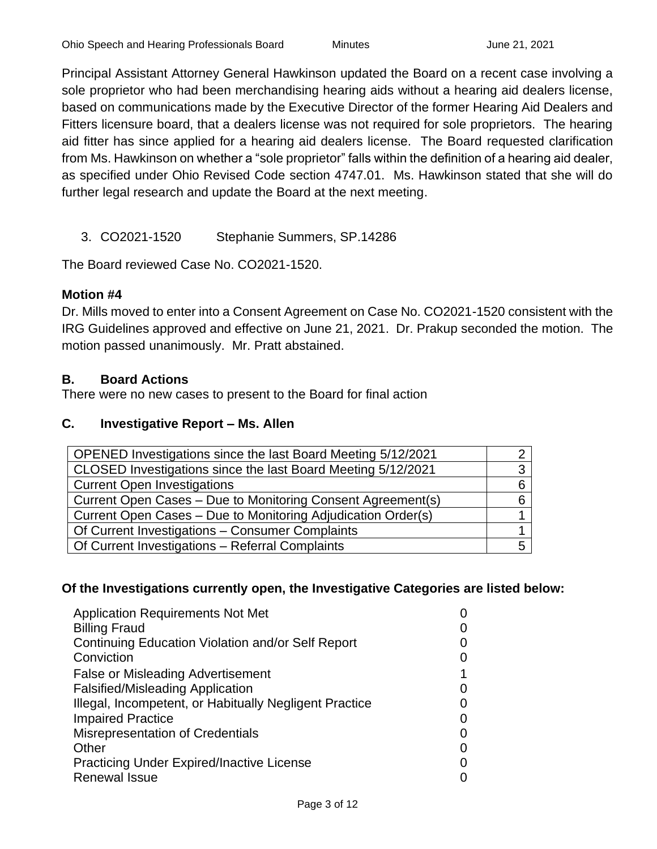Principal Assistant Attorney General Hawkinson updated the Board on a recent case involving a sole proprietor who had been merchandising hearing aids without a hearing aid dealers license, based on communications made by the Executive Director of the former Hearing Aid Dealers and Fitters licensure board, that a dealers license was not required for sole proprietors. The hearing aid fitter has since applied for a hearing aid dealers license. The Board requested clarification from Ms. Hawkinson on whether a "sole proprietor" falls within the definition of a hearing aid dealer, as specified under Ohio Revised Code section 4747.01. Ms. Hawkinson stated that she will do further legal research and update the Board at the next meeting.

3. CO2021-1520 Stephanie Summers, SP.14286

The Board reviewed Case No. CO2021-1520.

#### **Motion #4**

Dr. Mills moved to enter into a Consent Agreement on Case No. CO2021-1520 consistent with the IRG Guidelines approved and effective on June 21, 2021. Dr. Prakup seconded the motion. The motion passed unanimously. Mr. Pratt abstained.

#### **B. Board Actions**

There were no new cases to present to the Board for final action

#### **C. Investigative Report – Ms. Allen**

| OPENED Investigations since the last Board Meeting 5/12/2021 |  |
|--------------------------------------------------------------|--|
| CLOSED Investigations since the last Board Meeting 5/12/2021 |  |
| <b>Current Open Investigations</b>                           |  |
| Current Open Cases – Due to Monitoring Consent Agreement(s)  |  |
| Current Open Cases - Due to Monitoring Adjudication Order(s) |  |
| Of Current Investigations - Consumer Complaints              |  |
| Of Current Investigations - Referral Complaints              |  |

#### **Of the Investigations currently open, the Investigative Categories are listed below:**

| <b>Application Requirements Not Met</b>                |  |
|--------------------------------------------------------|--|
| <b>Billing Fraud</b>                                   |  |
| Continuing Education Violation and/or Self Report      |  |
| Conviction                                             |  |
| <b>False or Misleading Advertisement</b>               |  |
| <b>Falsified/Misleading Application</b>                |  |
| Illegal, Incompetent, or Habitually Negligent Practice |  |
| <b>Impaired Practice</b>                               |  |
| <b>Misrepresentation of Credentials</b>                |  |
| Other                                                  |  |
| <b>Practicing Under Expired/Inactive License</b>       |  |
| <b>Renewal Issue</b>                                   |  |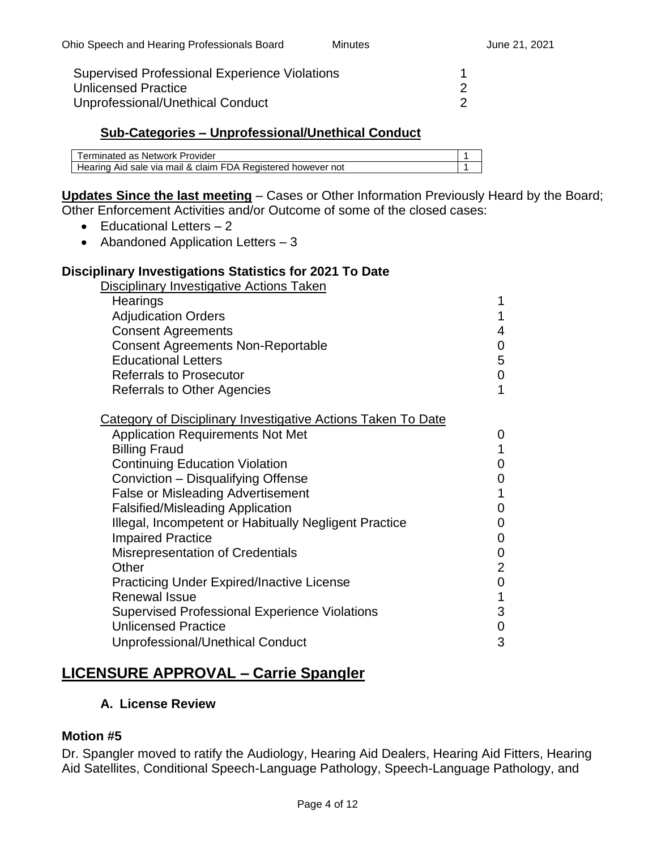| <b>Supervised Professional Experience Violations</b> |  |
|------------------------------------------------------|--|
| Unlicensed Practice                                  |  |
| Unprofessional/Unethical Conduct                     |  |

#### **Sub-Categories – Unprofessional/Unethical Conduct**

| Terminated as Network Provider                               |  |
|--------------------------------------------------------------|--|
| Hearing Aid sale via mail & claim FDA Registered however not |  |

# **Updates Since the last meeting** – Cases or Other Information Previously Heard by the Board;

Other Enforcement Activities and/or Outcome of some of the closed cases:

- Educational Letters 2
- Abandoned Application Letters 3

#### **Disciplinary Investigations Statistics for 2021 To Date**

Disciplinary Investigative Actions Taken

| 1 |
|---|
| 4 |
| 0 |
| 5 |
| 0 |
| 1 |
|   |

| Category of Disciplinary Investigative Actions Taken To Date |                |
|--------------------------------------------------------------|----------------|
| <b>Application Requirements Not Met</b>                      | 0              |
| <b>Billing Fraud</b>                                         |                |
| <b>Continuing Education Violation</b>                        | 0              |
| Conviction - Disqualifying Offense                           | 0              |
| <b>False or Misleading Advertisement</b>                     |                |
| <b>Falsified/Misleading Application</b>                      | 0              |
| Illegal, Incompetent or Habitually Negligent Practice        | 0              |
| <b>Impaired Practice</b>                                     | 0              |
| <b>Misrepresentation of Credentials</b>                      | 0              |
| Other                                                        | $\overline{2}$ |
| <b>Practicing Under Expired/Inactive License</b>             | 0              |
| <b>Renewal Issue</b>                                         |                |
| <b>Supervised Professional Experience Violations</b>         | 3              |
| <b>Unlicensed Practice</b>                                   | 0              |
| Unprofessional/Unethical Conduct                             | 3              |
|                                                              |                |

## **LICENSURE APPROVAL – Carrie Spangler**

#### **A. License Review**

#### **Motion #5**

Dr. Spangler moved to ratify the Audiology, Hearing Aid Dealers, Hearing Aid Fitters, Hearing Aid Satellites, Conditional Speech-Language Pathology, Speech-Language Pathology, and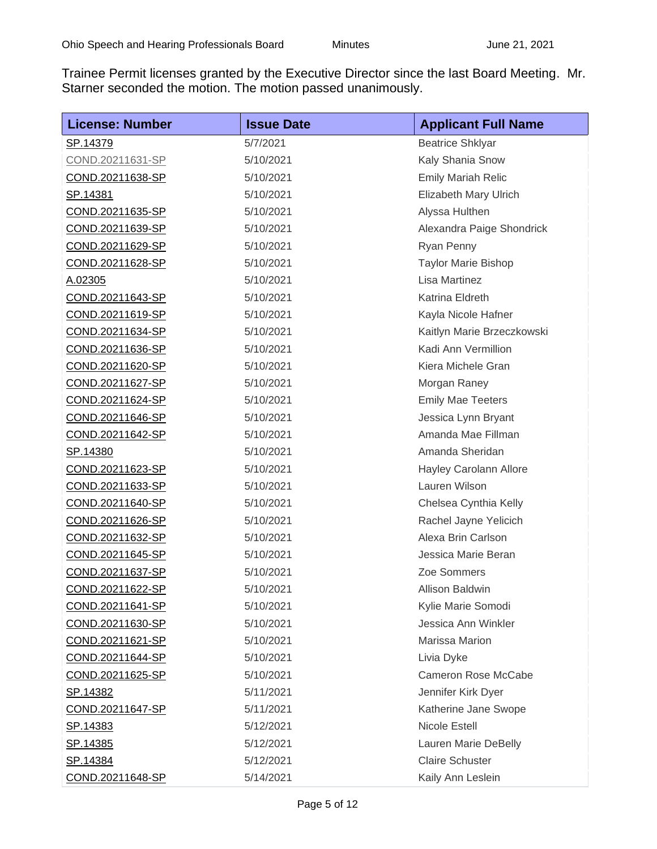Trainee Permit licenses granted by the Executive Director since the last Board Meeting. Mr. Starner seconded the motion. The motion passed unanimously.

| <b>License: Number</b>  | <b>Issue Date</b> | <b>Applicant Full Name</b> |
|-------------------------|-------------------|----------------------------|
| SP.14379                | 5/7/2021          | <b>Beatrice Shklyar</b>    |
| COND.20211631-SP        | 5/10/2021         | Kaly Shania Snow           |
| COND.20211638-SP        | 5/10/2021         | <b>Emily Mariah Relic</b>  |
| <u>SP.14381</u>         | 5/10/2021         | Elizabeth Mary Ulrich      |
| COND.20211635-SP        | 5/10/2021         | Alyssa Hulthen             |
| COND.20211639-SP        | 5/10/2021         | Alexandra Paige Shondrick  |
| COND.20211629-SP        | 5/10/2021         | Ryan Penny                 |
| COND.20211628-SP        | 5/10/2021         | <b>Taylor Marie Bishop</b> |
| A.02305                 | 5/10/2021         | Lisa Martinez              |
| COND.20211643-SP        | 5/10/2021         | Katrina Eldreth            |
| COND.20211619-SP        | 5/10/2021         | Kayla Nicole Hafner        |
| COND.20211634-SP        | 5/10/2021         | Kaitlyn Marie Brzeczkowski |
| COND.20211636-SP        | 5/10/2021         | Kadi Ann Vermillion        |
| COND.20211620-SP        | 5/10/2021         | Kiera Michele Gran         |
| COND.20211627-SP        | 5/10/2021         | Morgan Raney               |
| COND.20211624-SP        | 5/10/2021         | <b>Emily Mae Teeters</b>   |
| COND.20211646-SP        | 5/10/2021         | Jessica Lynn Bryant        |
| COND.20211642-SP        | 5/10/2021         | Amanda Mae Fillman         |
| SP.14380                | 5/10/2021         | Amanda Sheridan            |
| COND.20211623-SP        | 5/10/2021         | Hayley Carolann Allore     |
| COND.20211633-SP        | 5/10/2021         | Lauren Wilson              |
| COND.20211640-SP        | 5/10/2021         | Chelsea Cynthia Kelly      |
| COND.20211626-SP        | 5/10/2021         | Rachel Jayne Yelicich      |
| COND.20211632-SP        | 5/10/2021         | Alexa Brin Carlson         |
| COND.20211645-SP        | 5/10/2021         | Jessica Marie Beran        |
| COND.20211637-SP        | 5/10/2021         | Zoe Sommers                |
| COND.20211622-SP        | 5/10/2021         | Allison Baldwin            |
| COND.20211641-SP        | 5/10/2021         | Kylie Marie Somodi         |
| COND.20211630-SP        | 5/10/2021         | Jessica Ann Winkler        |
| COND.20211621-SP        | 5/10/2021         | <b>Marissa Marion</b>      |
| COND.20211644-SP        | 5/10/2021         | Livia Dyke                 |
| COND.20211625-SP        | 5/10/2021         | <b>Cameron Rose McCabe</b> |
| SP.14382                | 5/11/2021         | Jennifer Kirk Dyer         |
| <u>COND.20211647-SP</u> | 5/11/2021         | Katherine Jane Swope       |
| <u>SP.14383</u>         | 5/12/2021         | Nicole Estell              |
| <u>SP.14385</u>         | 5/12/2021         | Lauren Marie DeBelly       |
| <u>SP.14384</u>         | 5/12/2021         | <b>Claire Schuster</b>     |
| <u>COND.20211648-SP</u> | 5/14/2021         | Kaily Ann Leslein          |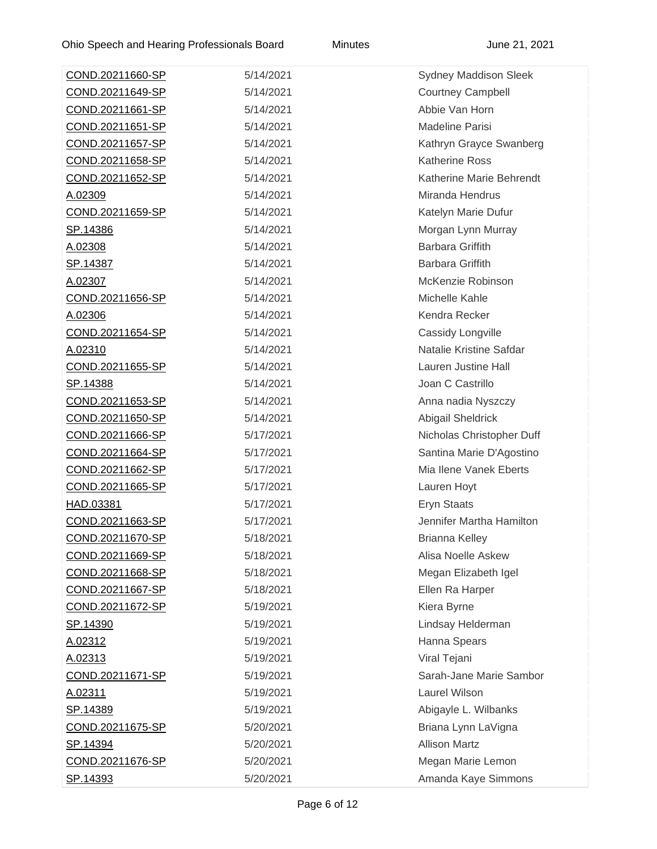| COND.20211660-SP        | 5/14/2021 | <b>Sydney Maddison Sleek</b> |
|-------------------------|-----------|------------------------------|
| COND.20211649-SP        | 5/14/2021 | <b>Courtney Campbell</b>     |
| <u>COND.20211661-SP</u> | 5/14/2021 | Abbie Van Horn               |
| COND.20211651-SP        | 5/14/2021 | <b>Madeline Parisi</b>       |
| COND.20211657-SP        | 5/14/2021 | Kathryn Grayce Swanberg      |
| <u>COND.20211658-SP</u> | 5/14/2021 | <b>Katherine Ross</b>        |
| <u>COND.20211652-SP</u> | 5/14/2021 | Katherine Marie Behrendt     |
| A.02309                 | 5/14/2021 | Miranda Hendrus              |
| <u>COND.20211659-SP</u> | 5/14/2021 | Katelyn Marie Dufur          |
| SP.14386                | 5/14/2021 | Morgan Lynn Murray           |
| A.02308                 | 5/14/2021 | <b>Barbara Griffith</b>      |
| <u>SP.14387</u>         | 5/14/2021 | Barbara Griffith             |
| A.02307                 | 5/14/2021 | McKenzie Robinson            |
| COND.20211656-SP        | 5/14/2021 | Michelle Kahle               |
| A.02306                 | 5/14/2021 | Kendra Recker                |
| COND.20211654-SP        | 5/14/2021 | Cassidy Longville            |
| A.02310                 | 5/14/2021 | Natalie Kristine Safdar      |
| COND.20211655-SP        | 5/14/2021 | Lauren Justine Hall          |
| SP.14388                | 5/14/2021 | Joan C Castrillo             |
| COND.20211653-SP        | 5/14/2021 | Anna nadia Nyszczy           |
| COND.20211650-SP        | 5/14/2021 | Abigail Sheldrick            |
| COND.20211666-SP        | 5/17/2021 | Nicholas Christopher Duff    |
| COND.20211664-SP        | 5/17/2021 | Santina Marie D'Agostino     |
| COND.20211662-SP        | 5/17/2021 | Mia Ilene Vanek Eberts       |
| COND.20211665-SP        | 5/17/2021 | Lauren Hoyt                  |
| HAD.03381               | 5/17/2021 | Eryn Staats                  |
| COND.20211663-SP        | 5/17/2021 | Jennifer Martha Hamilton     |
| COND.20211670-SP        | 5/18/2021 | <b>Brianna Kelley</b>        |
| COND.20211669-SP        | 5/18/2021 | Alisa Noelle Askew           |
| COND.20211668-SP        | 5/18/2021 | Megan Elizabeth Igel         |
| <u>COND.20211667-SP</u> | 5/18/2021 | Ellen Ra Harper              |
| COND.20211672-SP        | 5/19/2021 | Kiera Byrne                  |
| SP.14390                | 5/19/2021 | Lindsay Helderman            |
| A.02312                 | 5/19/2021 | Hanna Spears                 |
| A.02313                 | 5/19/2021 | Viral Tejani                 |
| <u>COND.20211671-SP</u> | 5/19/2021 | Sarah-Jane Marie Sambor      |
| A.02311                 | 5/19/2021 | Laurel Wilson                |
| <u>SP.14389</u>         | 5/19/2021 | Abigayle L. Wilbanks         |
| COND.20211675-SP        | 5/20/2021 | Briana Lynn LaVigna          |
| SP.14394                | 5/20/2021 | <b>Allison Martz</b>         |
| COND.20211676-SP        | 5/20/2021 | Megan Marie Lemon            |
| SP.14393                | 5/20/2021 | Amanda Kaye Simmons          |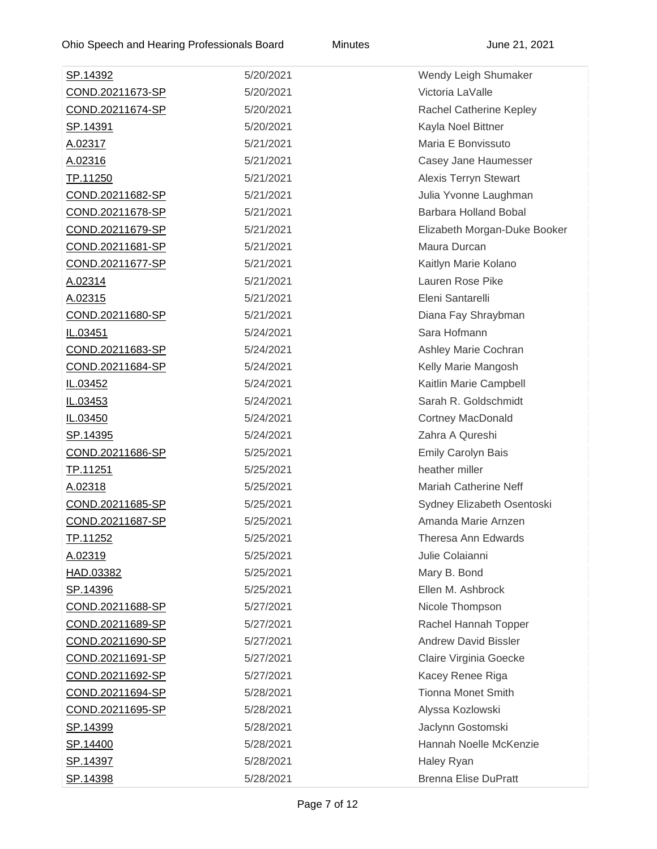| <u>SP.14392</u>         | 5/20/2021 | Wendy Leigh Shumaker         |
|-------------------------|-----------|------------------------------|
| COND.20211673-SP        | 5/20/2021 | Victoria LaValle             |
| COND.20211674-SP        | 5/20/2021 | Rachel Catherine Kepley      |
| <u>SP.14391</u>         | 5/20/2021 | Kayla Noel Bittner           |
| A.02317                 | 5/21/2021 | Maria E Bonvissuto           |
| A.02316                 | 5/21/2021 | Casey Jane Haumesser         |
| TP.11250                | 5/21/2021 | <b>Alexis Terryn Stewart</b> |
| COND.20211682-SP        | 5/21/2021 | Julia Yvonne Laughman        |
| COND.20211678-SP        | 5/21/2021 | Barbara Holland Bobal        |
| COND.20211679-SP        | 5/21/2021 | Elizabeth Morgan-Duke Booker |
| COND.20211681-SP        | 5/21/2021 | Maura Durcan                 |
| COND.20211677-SP        | 5/21/2021 | Kaitlyn Marie Kolano         |
| A.02314                 | 5/21/2021 | Lauren Rose Pike             |
| A.02315                 | 5/21/2021 | Eleni Santarelli             |
| COND.20211680-SP        | 5/21/2021 | Diana Fay Shraybman          |
| IL.03451                | 5/24/2021 | Sara Hofmann                 |
| COND.20211683-SP        | 5/24/2021 | Ashley Marie Cochran         |
| COND.20211684-SP        | 5/24/2021 | Kelly Marie Mangosh          |
| IL.03452                | 5/24/2021 | Kaitlin Marie Campbell       |
| IL.03453                | 5/24/2021 | Sarah R. Goldschmidt         |
| IL.03450                | 5/24/2021 | <b>Cortney MacDonald</b>     |
| <u>SP.14395</u>         | 5/24/2021 | Zahra A Qureshi              |
| COND.20211686-SP        | 5/25/2021 | <b>Emily Carolyn Bais</b>    |
| TP.11251                | 5/25/2021 | heather miller               |
| A.02318                 | 5/25/2021 | <b>Mariah Catherine Neff</b> |
| COND.20211685-SP        | 5/25/2021 | Sydney Elizabeth Osentoski   |
| COND.20211687-SP        | 5/25/2021 | Amanda Marie Arnzen          |
| TP.11252                | 5/25/2021 | Theresa Ann Edwards          |
| A.02319                 | 5/25/2021 | Julie Colaianni              |
| HAD.03382               | 5/25/2021 | Mary B. Bond                 |
| SP.14396                | 5/25/2021 | Ellen M. Ashbrock            |
| COND.20211688-SP        | 5/27/2021 | Nicole Thompson              |
| COND.20211689-SP        | 5/27/2021 | Rachel Hannah Topper         |
| <u>COND.20211690-SP</u> | 5/27/2021 | <b>Andrew David Bissler</b>  |
| COND.20211691-SP        | 5/27/2021 | Claire Virginia Goecke       |
| COND.20211692-SP        | 5/27/2021 | Kacey Renee Riga             |
| COND.20211694-SP        | 5/28/2021 | <b>Tionna Monet Smith</b>    |
| COND.20211695-SP        | 5/28/2021 | Alyssa Kozlowski             |
| SP.14399                | 5/28/2021 | Jaclynn Gostomski            |
| SP.14400                | 5/28/2021 | Hannah Noelle McKenzie       |
| SP.14397                | 5/28/2021 | Haley Ryan                   |
| SP.14398                | 5/28/2021 | <b>Brenna Elise DuPratt</b>  |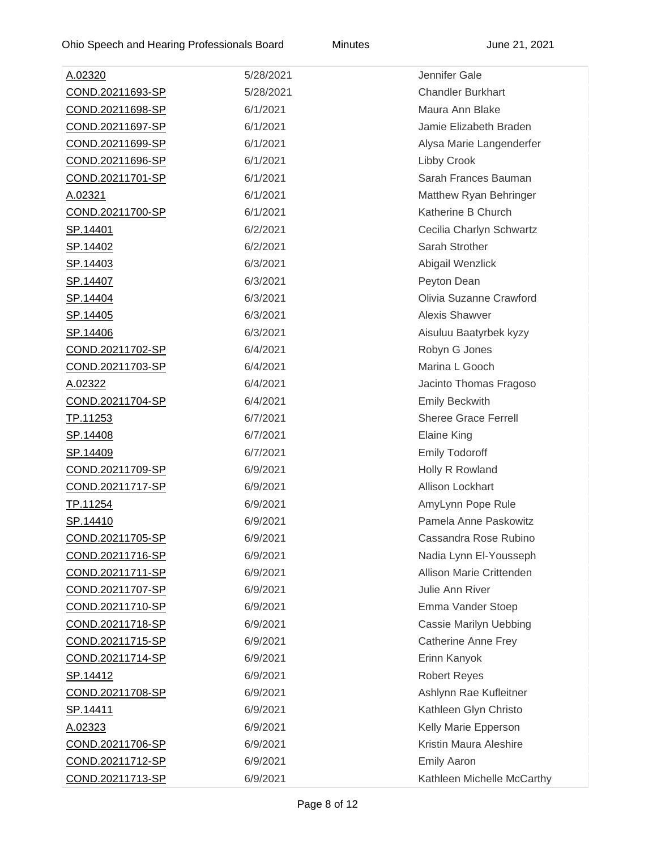| A.02320                 | 5/28/2021 | Jennifer Gale                 |
|-------------------------|-----------|-------------------------------|
| COND.20211693-SP        | 5/28/2021 | <b>Chandler Burkhart</b>      |
| <u>COND.20211698-SP</u> | 6/1/2021  | Maura Ann Blake               |
| COND.20211697-SP        | 6/1/2021  | Jamie Elizabeth Braden        |
| COND.20211699-SP        | 6/1/2021  | Alysa Marie Langenderfer      |
| <u>COND.20211696-SP</u> | 6/1/2021  | Libby Crook                   |
| COND.20211701-SP        | 6/1/2021  | Sarah Frances Bauman          |
| A.02321                 | 6/1/2021  | Matthew Ryan Behringer        |
| <u>COND.20211700-SP</u> | 6/1/2021  | Katherine B Church            |
| <u>SP.14401</u>         | 6/2/2021  | Cecilia Charlyn Schwartz      |
| SP.14402                | 6/2/2021  | Sarah Strother                |
| <u>SP.14403</u>         | 6/3/2021  | Abigail Wenzlick              |
| SP.14407                | 6/3/2021  | Peyton Dean                   |
| <u>SP.14404</u>         | 6/3/2021  | Olivia Suzanne Crawford       |
| SP.14405                | 6/3/2021  | <b>Alexis Shawver</b>         |
| SP.14406                | 6/3/2021  | Aisuluu Baatyrbek kyzy        |
| COND.20211702-SP        | 6/4/2021  | Robyn G Jones                 |
| COND.20211703-SP        | 6/4/2021  | Marina L Gooch                |
| A.02322                 | 6/4/2021  | Jacinto Thomas Fragoso        |
| COND.20211704-SP        | 6/4/2021  | <b>Emily Beckwith</b>         |
| TP.11253                | 6/7/2021  | <b>Sheree Grace Ferrell</b>   |
| <u>SP.14408</u>         | 6/7/2021  | <b>Elaine King</b>            |
| <u>SP.14409</u>         | 6/7/2021  | <b>Emily Todoroff</b>         |
| COND.20211709-SP        | 6/9/2021  | Holly R Rowland               |
| COND.20211717-SP        | 6/9/2021  | Allison Lockhart              |
| TP.11254                | 6/9/2021  | AmyLynn Pope Rule             |
| <u>SP.14410</u>         | 6/9/2021  | Pamela Anne Paskowitz         |
| COND.20211705-SP        | 6/9/2021  | Cassandra Rose Rubino         |
| COND.20211716-SP        | 6/9/2021  | Nadia Lynn El-Yousseph        |
| COND.20211711-SP        | 6/9/2021  | Allison Marie Crittenden      |
| COND.20211707-SP        | 6/9/2021  | Julie Ann River               |
| COND.20211710-SP        | 6/9/2021  | Emma Vander Stoep             |
| COND.20211718-SP        | 6/9/2021  | <b>Cassie Marilyn Uebbing</b> |
| COND.20211715-SP        | 6/9/2021  | <b>Catherine Anne Frey</b>    |
| <u>COND.20211714-SP</u> | 6/9/2021  | Erinn Kanyok                  |
| SP.14412                | 6/9/2021  | <b>Robert Reyes</b>           |
| COND.20211708-SP        | 6/9/2021  | Ashlynn Rae Kufleitner        |
| <u>SP.14411</u>         | 6/9/2021  | Kathleen Glyn Christo         |
| A.02323                 | 6/9/2021  | Kelly Marie Epperson          |
| COND.20211706-SP        | 6/9/2021  | Kristin Maura Aleshire        |
| COND.20211712-SP        | 6/9/2021  | <b>Emily Aaron</b>            |
| <u>COND.20211713-SP</u> | 6/9/2021  | Kathleen Michelle McCarthy    |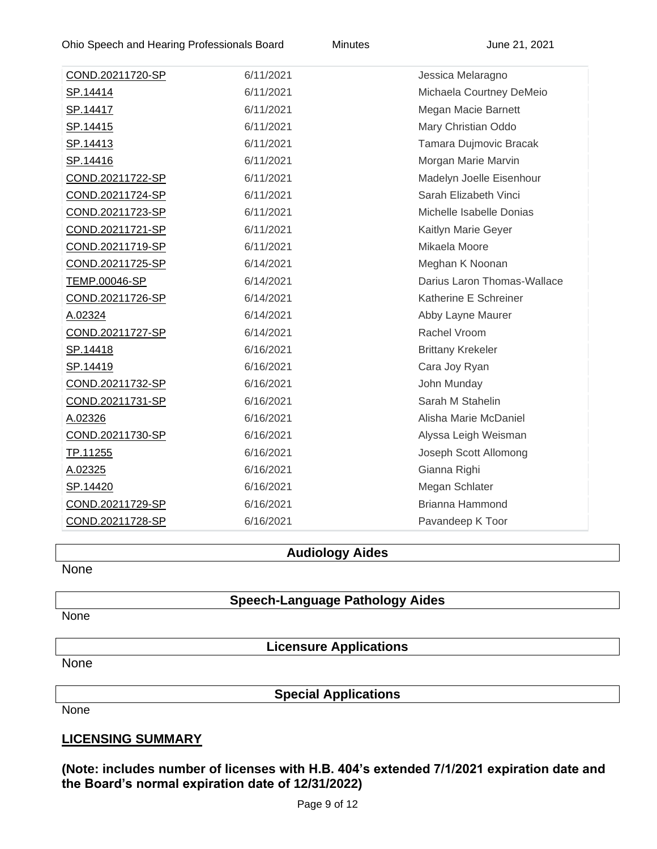| COND.20211720-SP | 6/11/2021 | Jessica Melaragno           |
|------------------|-----------|-----------------------------|
| SP.14414         | 6/11/2021 | Michaela Courtney DeMeio    |
| <u>SP.14417</u>  | 6/11/2021 | Megan Macie Barnett         |
| SP.14415         | 6/11/2021 | Mary Christian Oddo         |
| SP.14413         | 6/11/2021 | Tamara Dujmovic Bracak      |
| SP.14416         | 6/11/2021 | Morgan Marie Marvin         |
| COND.20211722-SP | 6/11/2021 | Madelyn Joelle Eisenhour    |
| COND.20211724-SP | 6/11/2021 | Sarah Elizabeth Vinci       |
| COND.20211723-SP | 6/11/2021 | Michelle Isabelle Donias    |
| COND.20211721-SP | 6/11/2021 | Kaitlyn Marie Geyer         |
| COND.20211719-SP | 6/11/2021 | Mikaela Moore               |
| COND.20211725-SP | 6/14/2021 | Meghan K Noonan             |
| TEMP.00046-SP    | 6/14/2021 | Darius Laron Thomas-Wallace |
| COND.20211726-SP | 6/14/2021 | Katherine E Schreiner       |
| A.02324          | 6/14/2021 | Abby Layne Maurer           |
| COND.20211727-SP | 6/14/2021 | Rachel Vroom                |
| <u>SP.14418</u>  | 6/16/2021 | <b>Brittany Krekeler</b>    |
| SP.14419         | 6/16/2021 | Cara Joy Ryan               |
| COND.20211732-SP | 6/16/2021 | John Munday                 |
| COND.20211731-SP | 6/16/2021 | Sarah M Stahelin            |
| A.02326          | 6/16/2021 | Alisha Marie McDaniel       |
| COND.20211730-SP | 6/16/2021 | Alyssa Leigh Weisman        |
| TP.11255         | 6/16/2021 | Joseph Scott Allomong       |
| A.02325          | 6/16/2021 | Gianna Righi                |
| SP.14420         | 6/16/2021 | Megan Schlater              |
| COND.20211729-SP | 6/16/2021 | Brianna Hammond             |
| COND.20211728-SP | 6/16/2021 | Pavandeep K Toor            |

#### **Audiology Aides**

None

#### **Speech-Language Pathology Aides**

**None** 

**Licensure Applications**

None

**Special Applications**

None

#### **LICENSING SUMMARY**

**(Note: includes number of licenses with H.B. 404's extended 7/1/2021 expiration date and the Board's normal expiration date of 12/31/2022)**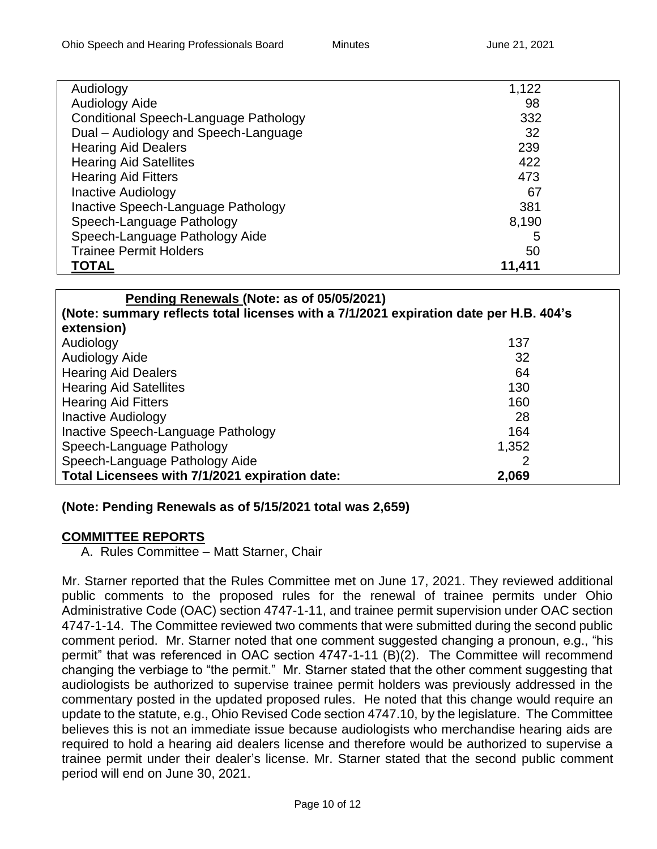| Audiology                             | 1,122  |
|---------------------------------------|--------|
| <b>Audiology Aide</b>                 | 98     |
| Conditional Speech-Language Pathology | 332    |
| Dual - Audiology and Speech-Language  | 32     |
| <b>Hearing Aid Dealers</b>            | 239    |
| <b>Hearing Aid Satellites</b>         | 422    |
| <b>Hearing Aid Fitters</b>            | 473    |
| <b>Inactive Audiology</b>             | 67     |
| Inactive Speech-Language Pathology    | 381    |
| Speech-Language Pathology             | 8,190  |
| Speech-Language Pathology Aide        | 5      |
| <b>Trainee Permit Holders</b>         | 50     |
| <b>TOTAL</b>                          | 11,411 |

| Pending Renewals (Note: as of 05/05/2021)                                             |       |
|---------------------------------------------------------------------------------------|-------|
| (Note: summary reflects total licenses with a 7/1/2021 expiration date per H.B. 404's |       |
| extension)                                                                            |       |
| Audiology                                                                             | 137   |
| Audiology Aide                                                                        | 32    |
| <b>Hearing Aid Dealers</b>                                                            | 64    |
| <b>Hearing Aid Satellites</b>                                                         | 130   |
| <b>Hearing Aid Fitters</b>                                                            | 160   |
| <b>Inactive Audiology</b>                                                             | 28    |
| Inactive Speech-Language Pathology                                                    | 164   |
| Speech-Language Pathology                                                             | 1,352 |
| Speech-Language Pathology Aide                                                        | 2     |
| Total Licensees with 7/1/2021 expiration date:                                        | 2,069 |

## **(Note: Pending Renewals as of 5/15/2021 total was 2,659)**

## **COMMITTEE REPORTS**

A. Rules Committee – Matt Starner, Chair

Mr. Starner reported that the Rules Committee met on June 17, 2021. They reviewed additional public comments to the proposed rules for the renewal of trainee permits under Ohio Administrative Code (OAC) section 4747-1-11, and trainee permit supervision under OAC section 4747-1-14. The Committee reviewed two comments that were submitted during the second public comment period. Mr. Starner noted that one comment suggested changing a pronoun, e.g., "his permit" that was referenced in OAC section 4747-1-11 (B)(2). The Committee will recommend changing the verbiage to "the permit." Mr. Starner stated that the other comment suggesting that audiologists be authorized to supervise trainee permit holders was previously addressed in the commentary posted in the updated proposed rules. He noted that this change would require an update to the statute, e.g., Ohio Revised Code section 4747.10, by the legislature. The Committee believes this is not an immediate issue because audiologists who merchandise hearing aids are required to hold a hearing aid dealers license and therefore would be authorized to supervise a trainee permit under their dealer's license. Mr. Starner stated that the second public comment period will end on June 30, 2021.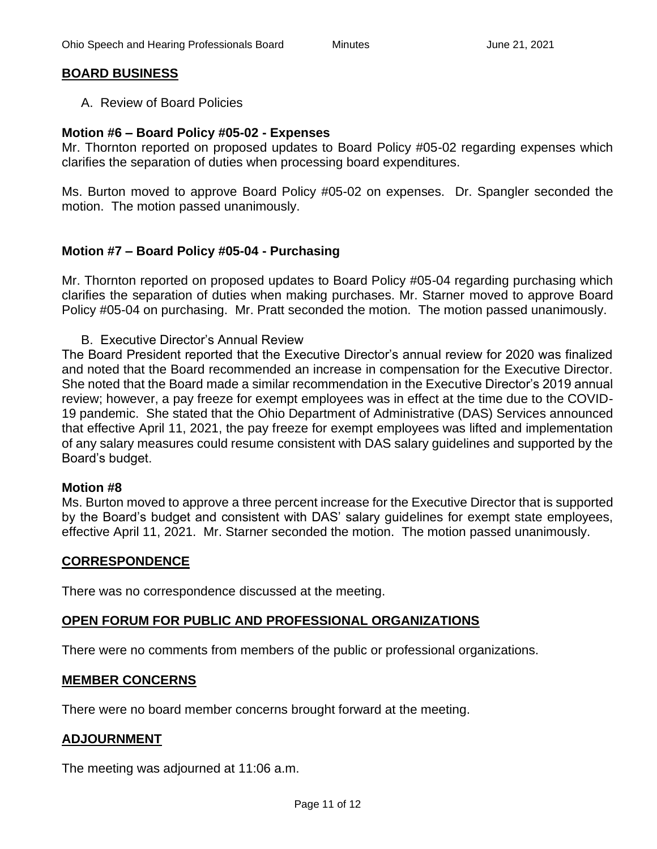### **BOARD BUSINESS**

A. Review of Board Policies

#### **Motion #6 – Board Policy #05-02 - Expenses**

Mr. Thornton reported on proposed updates to Board Policy #05-02 regarding expenses which clarifies the separation of duties when processing board expenditures.

Ms. Burton moved to approve Board Policy #05-02 on expenses. Dr. Spangler seconded the motion. The motion passed unanimously.

#### **Motion #7 – Board Policy #05-04 - Purchasing**

Mr. Thornton reported on proposed updates to Board Policy #05-04 regarding purchasing which clarifies the separation of duties when making purchases. Mr. Starner moved to approve Board Policy #05-04 on purchasing. Mr. Pratt seconded the motion. The motion passed unanimously.

B. Executive Director's Annual Review

The Board President reported that the Executive Director's annual review for 2020 was finalized and noted that the Board recommended an increase in compensation for the Executive Director. She noted that the Board made a similar recommendation in the Executive Director's 2019 annual review; however, a pay freeze for exempt employees was in effect at the time due to the COVID-19 pandemic. She stated that the Ohio Department of Administrative (DAS) Services announced that effective April 11, 2021, the pay freeze for exempt employees was lifted and implementation of any salary measures could resume consistent with DAS salary guidelines and supported by the Board's budget.

#### **Motion #8**

Ms. Burton moved to approve a three percent increase for the Executive Director that is supported by the Board's budget and consistent with DAS' salary guidelines for exempt state employees, effective April 11, 2021. Mr. Starner seconded the motion. The motion passed unanimously.

#### **CORRESPONDENCE**

There was no correspondence discussed at the meeting.

#### **OPEN FORUM FOR PUBLIC AND PROFESSIONAL ORGANIZATIONS**

There were no comments from members of the public or professional organizations.

#### **MEMBER CONCERNS**

There were no board member concerns brought forward at the meeting.

#### **ADJOURNMENT**

The meeting was adjourned at 11:06 a.m.